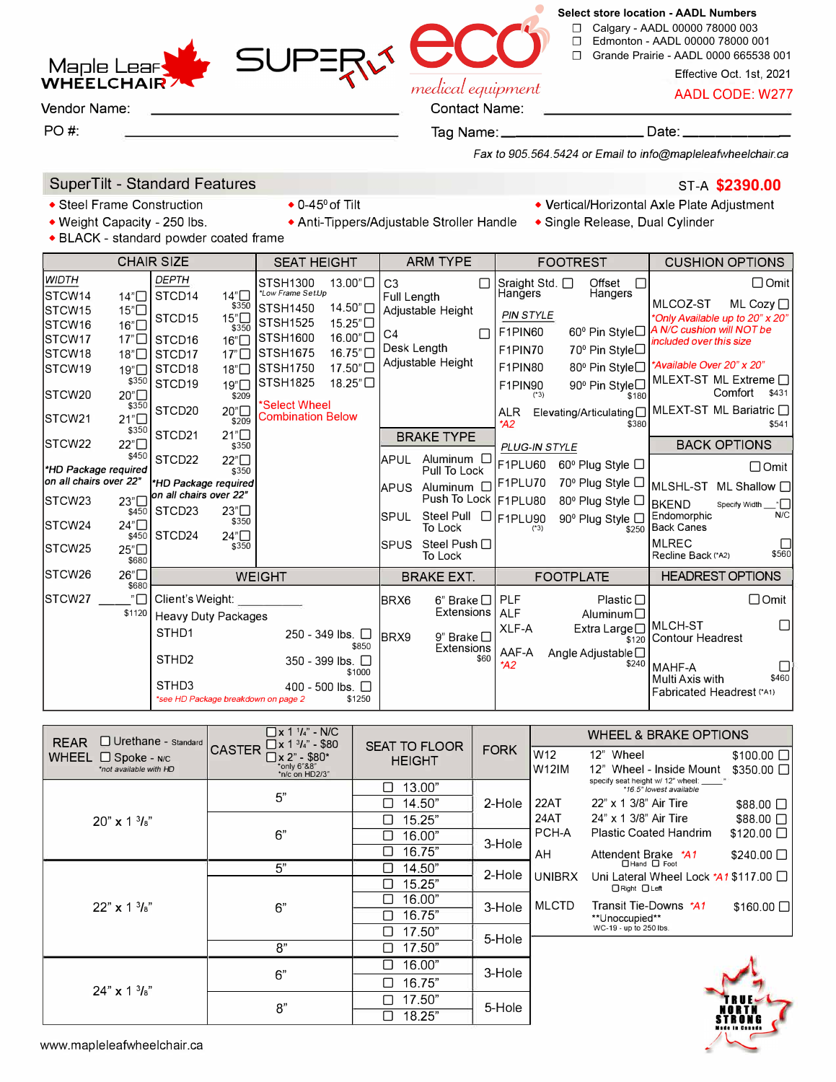# medical equipment

#### ☐ Calgary - AADL 00000 78000 003 ☐ Edmonton - AADL 00000 78000 001

☐ Grande Prairie - AADL 0000 665538 001

**Select store location - AADL Numbers**

Effective Oct. 1st, 2021

AADL CODE: W277

#### Contact Name:

Tag Name: \_\_\_\_\_\_\_\_\_\_\_\_\_\_\_\_\_\_\_\_\_ Date: \_

*Fax to 905.564.5424 or Email to info@mapleleafwheelchair.ca* 

## SuperTilt - Standard Features

• Steel Frame Construction • 0-45° of Tilt

**Maple Lea WHEELCHAI** Vendor Name:

PO#:

- 
- BLACK standard powder coated frame

|                                                                                                                       | <b>CHAIR SIZE</b>                                                                                    | <b>SEAT HEIGHT</b>                                                                                      | <b>ARM TYPE</b>                                                              | <b>FOOTREST</b>                                                                                  | <b>CUSHION OPTIONS</b>                                                                                                                              |  |
|-----------------------------------------------------------------------------------------------------------------------|------------------------------------------------------------------------------------------------------|---------------------------------------------------------------------------------------------------------|------------------------------------------------------------------------------|--------------------------------------------------------------------------------------------------|-----------------------------------------------------------------------------------------------------------------------------------------------------|--|
| <b>WIDTH</b><br><b>STCW14</b><br>14"□<br>15"□<br><b>STCW15</b>                                                        | <b>DEPTH</b><br>14 <sup>n</sup><br>STCD14<br>\$350<br>STCD15<br>15"□                                 | 13.00"□<br>STSH1300<br>*Low Frame Set-Up<br>14.50"<br><b>STSH1450</b>                                   | C <sub>3</sub><br>Full Length<br>Adjustable Height                           | Offset<br>Sraight Std. $\square$<br>Л<br>Hangers<br>Hangers<br><b>PIN STYLE</b>                  | $\Box$ Omit<br>MLCOZ-ST<br>ML Cozy $\Box$<br>*Only Available up to 20" x 20"                                                                        |  |
| STCW <sub>16</sub><br>16"□<br><b>STCW17</b><br>17 <sup>n</sup><br><b>STCW18</b><br>18"□<br>STCW <sub>19</sub><br>19"□ | \$350<br>16"<br>STCD <sub>16</sub><br>STCD <sub>17</sub><br>17" $\Box$<br>STCD <sub>18</sub><br>18"□ | <b>STSH1525</b><br>15.25"□<br>16.00"□<br>STSH1600<br>$16.75$ "<br><b>STSH1675</b><br>STSH1750<br>17.50" | C <sub>4</sub><br>Desk Length<br>Adiustable Height                           | F1PIN60<br>F1PIN70<br>70 <sup>°</sup> Pin Style□<br>F1PIN80                                      | 60 <sup>°</sup> Pin Style□ A N/C cushion will NOT be<br>included over this size<br>80 <sup>°</sup> Pin Style□ <sup>*</sup> Available Over 20" x 20" |  |
| \$350<br>20"□<br>STCW <sub>20</sub><br>\$350                                                                          | STCD19<br>19"□<br>\$209<br>STCD20<br>20 <sup>n</sup>                                                 | <b>STSH1825</b><br>18.25"□<br>*Select Wheel                                                             |                                                                              | 90 <sup>°</sup> Pin Style□<br>F1PIN90<br>$(*3)$<br>\$180<br>Elevating/Articulating<br><b>ALR</b> | MLEXT-ST ML Extreme $\square$<br>Comfort<br>\$431<br>MLEXT-ST ML Bariatric n                                                                        |  |
| 21"□<br>ISTCW21<br>\$350<br>STCW22<br>22"□                                                                            | \$209<br>STCD21<br>21"□<br>\$350                                                                     | <b>Combination Below</b>                                                                                | <b>BRAKE TYPE</b>                                                            | A2<br>\$380                                                                                      | \$541<br><b>BACK OPTIONS</b>                                                                                                                        |  |
| \$450<br>*HD Package required<br>lon all chairs over 22"                                                              | STCD22<br>22"□<br>\$350                                                                              |                                                                                                         | <b>APUL</b><br>Aluminum $\square$<br>Pull To Lock                            | PLUG-IN STYLE<br>F1PLU60<br>60 <sup>°</sup> Plug Style □                                         | $\Box$ Omit                                                                                                                                         |  |
| 23"<br>STCW <sub>23</sub><br>\$450                                                                                    | *HD Package required<br>on all chairs over 22"<br>23"□<br>STCD <sub>23</sub>                         |                                                                                                         | Aluminum $\square$<br><b>APUS</b><br>Push To Lock   F1PLU80                  | $70^{\circ}$ Plug Style $\Box$<br>F1PLU70<br>80 <sup>°</sup> Plug Style □                        | MLSHL-ST ML Shallow O<br><b>BKEND</b><br>Specify Width "<br>Endomorphic<br>N/C                                                                      |  |
| 24"□<br>STCW <sub>24</sub><br>\$450                                                                                   | \$350<br>STCD24<br>24"□<br>\$350                                                                     |                                                                                                         | Steel Pull D F1PLU90<br>ISPUL<br>To Lock<br>Steel Push $\Box$<br><b>SPUS</b> | 90 <sup>°</sup> Plug Style □<br>$(*3)$<br>\$250                                                  | <b>Back Canes</b><br><b>MLREC</b><br>□                                                                                                              |  |
| 25"□<br>ISTCW25<br>\$680                                                                                              |                                                                                                      |                                                                                                         | To Lock                                                                      |                                                                                                  | \$560<br>Recline Back (*A2)                                                                                                                         |  |
| STCW <sub>26</sub><br>26"□<br>\$680                                                                                   |                                                                                                      | <b>WEIGHT</b>                                                                                           | <b>BRAKE EXT.</b>                                                            | <b>FOOTPLATE</b>                                                                                 | <b>HEADREST OPTIONS</b>                                                                                                                             |  |
| $" \Box$<br>STCW <sub>27</sub><br>\$1120                                                                              | Client's Weight:<br><b>Heavy Duty Packages</b>                                                       |                                                                                                         | $6$ " Brake $\Box$<br><b>BRX6</b><br>Extensions                              | <b>PLF</b><br>Plastic $\square$<br><b>ALF</b><br>Aluminum $\Box$                                 | $\Box$ Omit<br>П<br>IMLCH-ST                                                                                                                        |  |
|                                                                                                                       | STHD1<br>STHD <sub>2</sub>                                                                           | 250 - 349 lbs. $\Box$<br>\$850<br>350 - 399 lbs. □                                                      | BRX9<br>9" Brake $\Box$<br>Extensions<br>\$60                                | XLF-A<br>Extra Large□<br>\$120<br>AAF-A<br>Angle Adjustable $\square$                            | Contour Headrest                                                                                                                                    |  |
|                                                                                                                       | STH <sub>D3</sub><br>*see HD Package breakdown on page 2                                             | \$1000<br>400 - 500 lbs.<br>\$1250                                                                      |                                                                              | \$240<br>*A2                                                                                     | MAHF-A<br>\$460<br>Multi Axis with<br>Fabricated Headrest (*A1)                                                                                     |  |

| □ Urethane - Standard<br><b>REAR</b>                         | $\Box$ x 1 $\frac{1}{4}$ " - N/C<br>$\Box$ x 1 $3/4$ " - \$80<br><b>CASTER</b><br>$\sqrt{2}$ x 2" - \$80*<br>*only 6"&8"<br>*n/c on HD2/3" | <b>SEAT TO FLOOR</b><br><b>HEIGHT</b> | <b>FORK</b> |               | <b>WHEEL &amp; BRAKE OPTIONS</b>                                          |                                |  |
|--------------------------------------------------------------|--------------------------------------------------------------------------------------------------------------------------------------------|---------------------------------------|-------------|---------------|---------------------------------------------------------------------------|--------------------------------|--|
| <b>WHEEL</b><br>$\Box$ Spoke - N/C<br>*not available with HD |                                                                                                                                            |                                       |             | W12<br>W12IM  | 12" Wheel<br>12"<br>Wheel - Inside Mount                                  | \$100.00 □<br>$$350.00$ $\Box$ |  |
|                                                              | 5"                                                                                                                                         | 13.00"<br>П                           | 2-Hole      |               | specify seat height w/ 12" wheel: _____<br>*16.5" lowest available        |                                |  |
|                                                              |                                                                                                                                            | 14.50"<br>□                           |             | 22AT          | 22" x 1 3/8" Air Tire                                                     | $$88.00$ $\Box$                |  |
| $20'' \times 13'_{8}''$                                      |                                                                                                                                            | 15.25"<br>◻                           |             | 24AT          | 24" x 1 3/8" Air Tire                                                     | \$88.00 □                      |  |
|                                                              | 6"                                                                                                                                         | 16.00"<br>□                           | 3-Hole      | PCH-A         | <b>Plastic Coated Handrim</b>                                             | $$120.00$ $\Box$               |  |
|                                                              |                                                                                                                                            | 16.75"<br>□                           |             | AH            | Attendent Brake *A1                                                       | $$240.00$ $\Box$               |  |
|                                                              | 5"                                                                                                                                         | 14.50"<br>ΙI                          | 2-Hole      |               | □ Hand □ Foot                                                             |                                |  |
|                                                              | 6"                                                                                                                                         | 15.25"<br>LΙ                          |             | <b>UNIBRX</b> | Uni Lateral Wheel Lock $*$ 41 \$117.00 $\Box$<br>$\Box$ Right $\Box$ Left |                                |  |
| $22'' \times 13'_{8}$                                        |                                                                                                                                            | 16.00"<br>$\Box$                      | 3-Hole      | <b>MLCTD</b>  | Transit Tie-Downs *A1<br>**Unoccupied**                                   | $$160.00$ $\Box$               |  |
|                                                              |                                                                                                                                            | 16.75"<br>LΙ                          |             |               |                                                                           |                                |  |
|                                                              |                                                                                                                                            | 17.50"<br>$\mathsf{I}$                | 5-Hole      |               | WC-19 - up to 250 lbs.                                                    |                                |  |
|                                                              | 8"                                                                                                                                         | 17.50"<br>П                           |             |               |                                                                           |                                |  |
|                                                              | 6"                                                                                                                                         | 16.00"<br>□                           | 3-Hole      |               |                                                                           |                                |  |
|                                                              |                                                                                                                                            | 16.75"<br>П                           |             |               |                                                                           |                                |  |
| $24'' \times 13'_{8}''$                                      | 8"                                                                                                                                         | 17.50"<br>П                           | 5-Hole      |               |                                                                           |                                |  |
|                                                              |                                                                                                                                            | 18.25"<br>◻                           |             |               |                                                                           | STRONG                         |  |

### ST-A **\$2390.00**

**STIINI** 

- Vertical/Horizontal Axle Plate Adjustment
- Weight Capacity 250 lbs. • Anti-Tippers/Adjustable Stroller Handle Single Release, Dual Cylinder